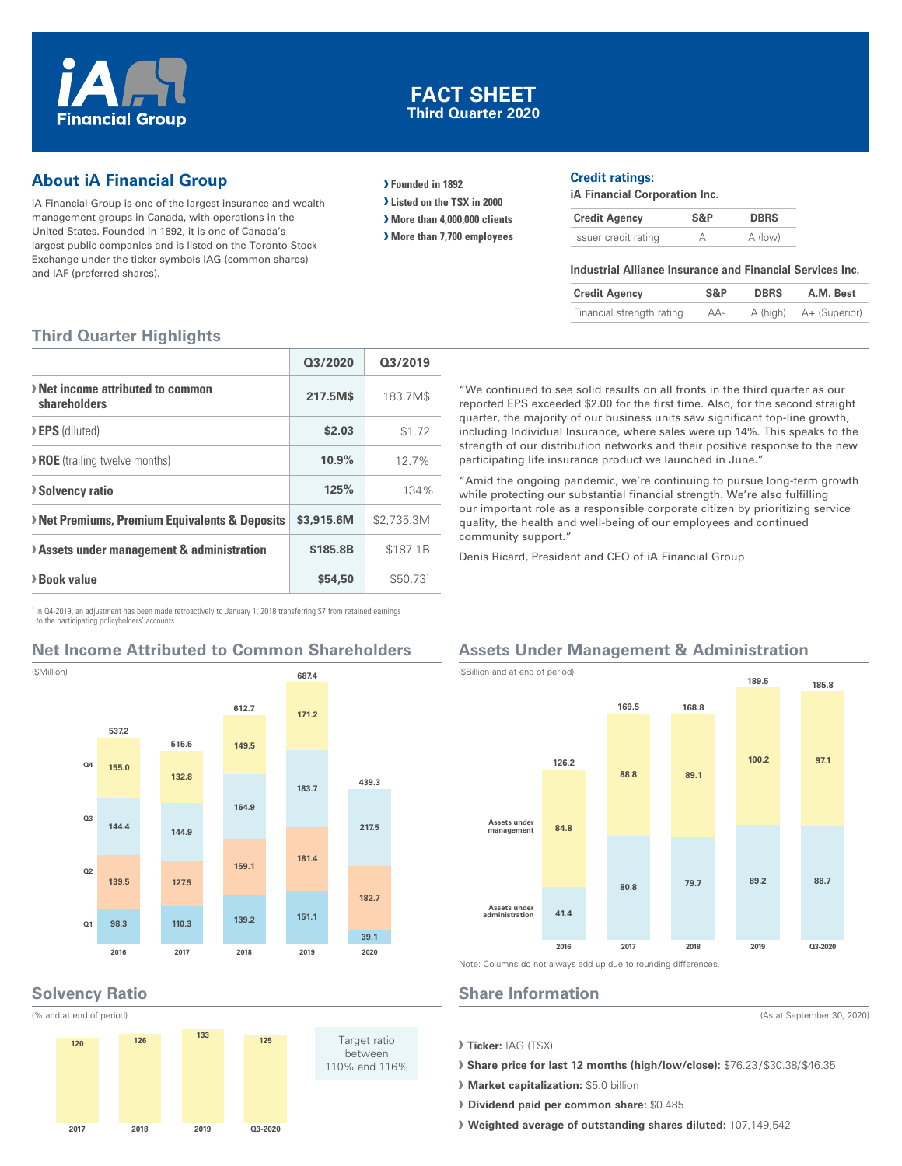

# **FACT SHEET Third Quarter 2020**

# **About iA Financial Group**

iA Financial Group is one of the largest insurance and wealth management groups in Canada, with operations in the United States. Founded in 1892, it is one of Canada's largest public companies and is listed on the Toronto Stock Exchange under the ticker symbols IAG (common shares) and IAF (preferred shares).

**› Founded in 1892**

**› Listed on the TSX in 2000**

**› More than 4,000,000 clients**

**› More than 7,700 employees**

#### **Credit ratings:**

participating life insurance product we launched in June."

Denis Ricard, President and CEO of iA Financial Group

**iA Financial Corporation Inc.**

"We continued to see solid results on all fronts in the third quarter as our reported EPS exceeded \$2.00 for the first time. Also, for the second straight quarter, the majority of our business units saw significant top-line growth, including Individual Insurance, where sales were up 14%. This speaks to the strength of our distribution networks and their positive response to the new

"Amid the ongoing pandemic, we're continuing to pursue long-term growth while protecting our substantial financial strength. We're also fulfilling our important role as a responsible corporate citizen by prioritizing service quality, the health and well-being of our employees and continued

| <b>Credit Agency</b> | S&P | <b>DBRS</b> |
|----------------------|-----|-------------|
| Issuer credit rating |     | A (low)     |

#### **Industrial Alliance Insurance and Financial Services Inc.**

| <b>Credit Agency</b>      | S&P | <b>DBRS</b> | A.M. Best              |
|---------------------------|-----|-------------|------------------------|
| Financial strength rating | AA- |             | A (high) A+ (Superior) |

# **Third Quarter Highlights**

|                                                          | 03/2020    | 03/2019    |
|----------------------------------------------------------|------------|------------|
| > Net income attributed to common<br>shareholders        | 217.5M\$   | 183.7M\$   |
| > EPS (diluted)                                          | \$2.03     | \$1.72     |
| <b>&gt; ROE</b> (trailing twelve months)                 | 10.9%      | 127%       |
| <b>Solvency ratio</b>                                    | 125%       | 134%       |
| <b>Net Premiums, Premium Equivalents &amp; Deposits</b>  | \$3,915,6M | \$2,735.3M |
| <b>&gt; Assets under management &amp; administration</b> | \$185.8B   | \$187.1B   |
| > Book value                                             | \$54,50    | \$50.731   |

1 In Q4-2019, an adjustment has been made retroactively to January 1, 2018 transferring \$7 from retained earnings to the participating policyholders' accounts.

# **Net Income Attributed to Common Shareholders**



## **Solvency Ratio**



# **Assets Under Management & Administration**



Note: Columns do not always add up due to rounding differences.

#### **Share Information**

community support."

**› Ticker:** IAG (TSX)

**› Share price for last 12 months (high/low/close):** \$76.23 / \$30.38/ \$46.35

- **› Market capitalization:** \$5.0 billion
- **› Dividend paid per common share:** \$0.485

**› Weighted average of outstanding shares diluted:** 107,149,542

(As at September 30, 2020)